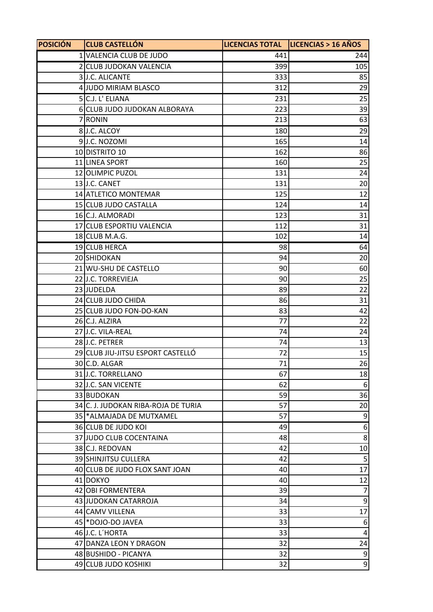| <b>POSICIÓN</b> | <b>CLUB CASTELLÓN</b>               |     | LICENCIAS TOTAL   LICENCIAS > 16 AÑOS |
|-----------------|-------------------------------------|-----|---------------------------------------|
|                 | 1 VALENCIA CLUB DE JUDO             | 441 | 244                                   |
|                 | 2 CLUB JUDOKAN VALENCIA             | 399 | 105                                   |
|                 | 3J.C. ALICANTE                      | 333 | 85                                    |
|                 | 4 JUDO MIRIAM BLASCO                | 312 | 29                                    |
|                 | 5 C.J. L' ELIANA                    | 231 | 25                                    |
|                 | 6 CLUB JUDO JUDOKAN ALBORAYA        | 223 | 39                                    |
|                 | 7 RONIN                             | 213 | 63                                    |
|                 | 8J.C. ALCOY                         | 180 | 29                                    |
|                 | 9J.C. NOZOMI                        | 165 | 14                                    |
|                 | 10 DISTRITO 10                      | 162 | 86                                    |
|                 | 11 LINEA SPORT                      | 160 | 25                                    |
|                 | 12 OLIMPIC PUZOL                    | 131 | 24                                    |
|                 | 13J.C. CANET                        | 131 | 20                                    |
|                 | 14 ATLETICO MONTEMAR                | 125 | 12                                    |
|                 | 15 CLUB JUDO CASTALLA               | 124 | 14                                    |
|                 | 16 C.J. ALMORADI                    | 123 | 31                                    |
|                 | 17 CLUB ESPORTIU VALENCIA           | 112 | 31                                    |
|                 | 18 CLUB M.A.G.                      | 102 | 14                                    |
|                 | 19 CLUB HERCA                       | 98  | 64                                    |
|                 | 20 SHIDOKAN                         | 94  | 20                                    |
|                 | 21 WU-SHU DE CASTELLO               | 90  | 60                                    |
|                 | 22J.C. TORREVIEJA                   | 90  | 25                                    |
|                 | 23 JUDELDA                          | 89  | 22                                    |
|                 | 24 CLUB JUDO CHIDA                  | 86  | 31                                    |
|                 | 25 CLUB JUDO FON-DO-KAN             | 83  | 42                                    |
|                 | 26 C.J. ALZIRA                      | 77  | 22                                    |
|                 | 27 J.C. VILA-REAL                   | 74  | 24                                    |
|                 | 28 J.C. PETRER                      | 74  | 13                                    |
|                 | 29 CLUB JIU-JITSU ESPORT CASTELLÓ   | 72  | 15                                    |
|                 | 30 C.D. ALGAR                       | 71  | 26                                    |
|                 | 31 J.C. TORRELLANO                  | 67  | 18                                    |
|                 | 32 J.C. SAN VICENTE                 | 62  | 6                                     |
|                 | 33 BUDOKAN                          | 59  | 36                                    |
|                 | 34 C. J. JUDOKAN RIBA-ROJA DE TURIA | 57  | 20                                    |
|                 | 35   * ALMAJADA DE MUTXAMEL         | 57  | 9                                     |
|                 | 36 CLUB DE JUDO KOI                 | 49  | 6                                     |
|                 | 37 JUDO CLUB COCENTAINA             | 48  | 8                                     |
|                 | 38 C.J. REDOVAN                     | 42  | 10                                    |
|                 | 39 SHINJITSU CULLERA                | 42  | 5                                     |
|                 | 40 CLUB DE JUDO FLOX SANT JOAN      | 40  | 17                                    |
|                 | 41 DOKYO                            | 40  | 12                                    |
|                 | 42 OBI FORMENTERA                   | 39  | $\overline{7}$                        |
|                 | 43 JUDOKAN CATARROJA                | 34  | $\boldsymbol{9}$                      |
|                 | 44 CAMV VILLENA                     | 33  | 17                                    |
|                 | 45 * DOJO-DO JAVEA                  | 33  | $\boldsymbol{6}$                      |
|                 | 46 J.C. L'HORTA                     | 33  | 4                                     |
|                 | 47 DANZA LEON Y DRAGON              | 32  | 24                                    |
|                 | 48 BUSHIDO - PICANYA                | 32  | 9                                     |
|                 | 49 CLUB JUDO KOSHIKI                | 32  | $\overline{9}$                        |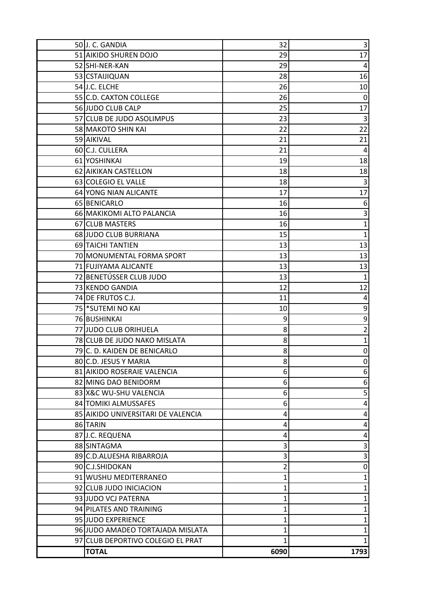| 50J.C. GANDIA                      | 32   | 3              |
|------------------------------------|------|----------------|
| 51 AIKIDO SHUREN DOJO              | 29   | 17             |
| 52 SHI-NER-KAN                     | 29   | 4              |
| 53 CSTAIJIQUAN                     | 28   | 16             |
| 54 J.C. ELCHE                      | 26   | 10             |
| 55 C.D. CAXTON COLLEGE             | 26   | 0              |
| 56 JUDO CLUB CALP                  | 25   | 17             |
| 57 CLUB DE JUDO ASOLIMPUS          | 23   | 3              |
| 58 MAKOTO SHIN KAI                 | 22   | 22             |
| 59 AIKIVAL                         | 21   | 21             |
| 60 C.J. CULLERA                    | 21   | 4              |
| 61 YOSHINKAI                       | 19   | 18             |
| 62 AIKIKAN CASTELLON               | 18   | 18             |
| 63 COLEGIO EL VALLE                | 18   | $\overline{3}$ |
| 64 YONG NIAN ALICANTE              | 17   | 17             |
| 65 BENICARLO                       | 16   | 6              |
| 66 MAKIKOMI ALTO PALANCIA          | 16   | 3              |
| 67 CLUB MASTERS                    | 16   | $\mathbf{1}$   |
| 68 JUDO CLUB BURRIANA              | 15   | $\mathbf{1}$   |
| 69 TAICHI TANTIEN                  | 13   | 13             |
| 70 MONUMENTAL FORMA SPORT          | 13   | 13             |
| 71 FUJIYAMA ALICANTE               | 13   | 13             |
| 72 BENETÚSSER CLUB JUDO            | 13   | 1              |
| 73 KENDO GANDIA                    | 12   | 12             |
| 74 DE FRUTOS C.J.                  | 11   | 4              |
| 75 * SUTEMI NO KAI                 | 10   | 9              |
| 76 BUSHINKAI                       | 9    | 9              |
| 77 JUDO CLUB ORIHUELA              | 8    | 2              |
| 78 CLUB DE JUDO NAKO MISLATA       | 8    | 1              |
| 79 C. D. KAIDEN DE BENICARLO       | 8    | 0              |
| 80 C.D. JESUS Y MARIA              | 8    | 0              |
| 81 AIKIDO ROSERAIE VALENCIA        | 6    | 6              |
| 82 MING DAO BENIDORM               | 6    | 6              |
| 83 X&C WU-SHU VALENCIA             | 6    | 5              |
| 84 TOMIKI ALMUSSAFES               | 6    | 4              |
| 85 AIKIDO UNIVERSITARI DE VALENCIA | 4    | 4              |
| 86 TARIN                           | 4    | 4              |
| 87 J.C. REQUENA                    | 4    | 4              |
| 88 SINTAGMA                        | 3    | 3              |
| 89 C.D.ALUESHA RIBARROJA           | 3    | 3              |
| 90 C.J.SHIDOKAN                    | 2    | $\pmb{0}$      |
| 91 WUSHU MEDITERRANEO              | 1    | 1              |
| 92 CLUB JUDO INICIACION            | 1    | 1              |
| 93 JUDO VCJ PATERNA                | 1    | 1              |
| 94 PILATES AND TRAINING            | 1    | $\mathbf{1}$   |
| 95 JUDO EXPERIENCE                 | 1    | 1              |
| 96 JUDO AMADEO TORTAJADA MISLATA   | 1    | 1              |
| 97 CLUB DEPORTIVO COLEGIO EL PRAT  | 1    | 1              |
| <b>TOTAL</b>                       | 6090 | 1793           |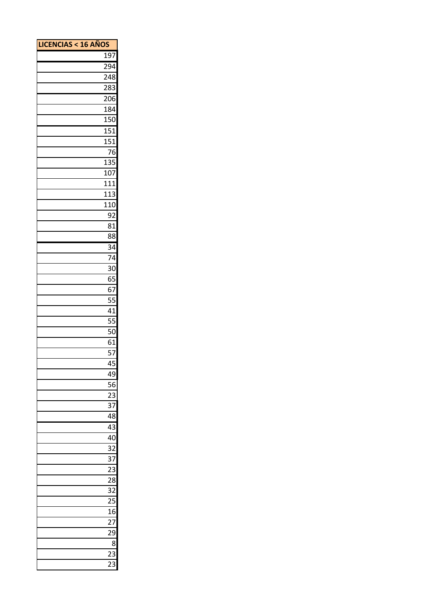| <b>LICENCIAS &lt; 16 AÑOS</b> |                  |
|-------------------------------|------------------|
|                               | 197              |
|                               | 294              |
|                               | 248              |
|                               | 283              |
|                               | 206              |
|                               | 184              |
|                               | 150              |
|                               | 151              |
|                               | $\overline{151}$ |
|                               | 76               |
|                               | 135              |
|                               | 107              |
|                               | 111              |
|                               | 113              |
|                               | 110              |
|                               | 92               |
|                               | 81               |
|                               | 88               |
|                               | 34               |
|                               | 74               |
|                               | 30               |
|                               |                  |
|                               | 65               |
|                               | 67               |
|                               | 55               |
|                               | 41               |
|                               | 55               |
|                               | 50               |
|                               | 61               |
|                               | 57               |
|                               | 45               |
|                               | 49               |
|                               | 56               |
|                               | 23               |
|                               | $\overline{37}$  |
|                               | 48               |
|                               | $\overline{43}$  |
|                               | 40               |
|                               | 32               |
|                               | 37               |
|                               | $\overline{23}$  |
|                               | 28               |
|                               | $\overline{32}$  |
|                               | $\overline{25}$  |
|                               | 16               |
|                               | $\overline{27}$  |
|                               | 29               |
|                               | 8                |
|                               | $\overline{23}$  |
|                               | 23               |